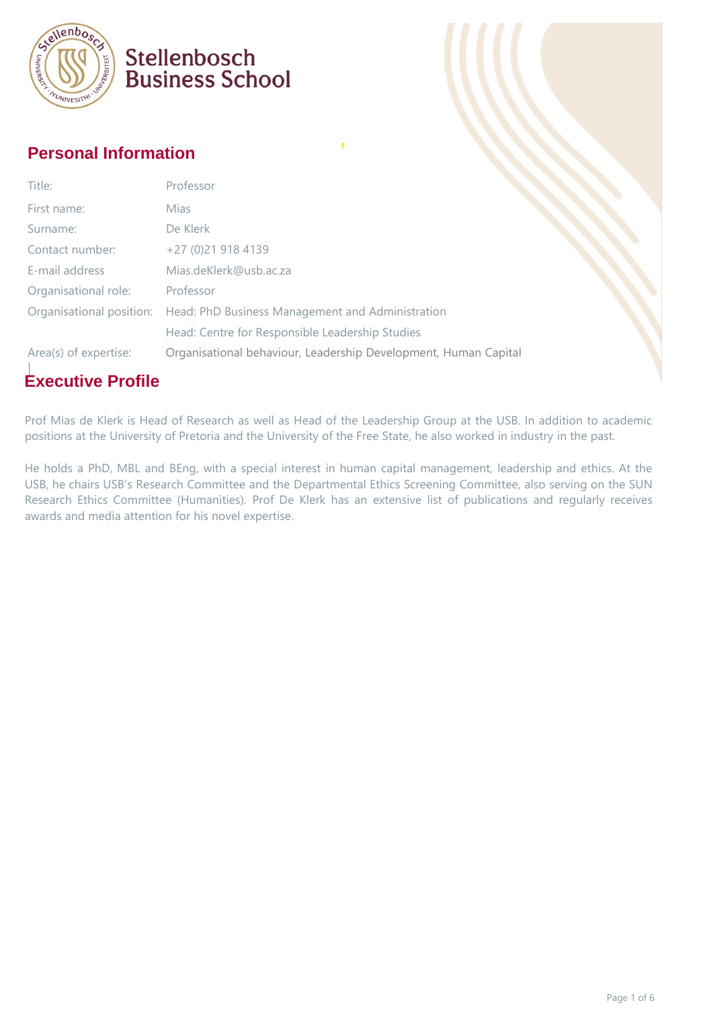

#### **Personal Information**

| Title:                | Professor                                                                 |  |
|-----------------------|---------------------------------------------------------------------------|--|
| First name:           | <b>Mias</b>                                                               |  |
| Surname:              | De Klerk                                                                  |  |
| Contact number:       | +27 (0)21 918 4139                                                        |  |
| E-mail address        | Mias.deKlerk@usb.ac.za                                                    |  |
| Organisational role:  | Professor                                                                 |  |
|                       | Organisational position: Head: PhD Business Management and Administration |  |
|                       | Head: Centre for Responsible Leadership Studies                           |  |
| Area(s) of expertise: | Organisational behaviour, Leadership Development, Human Capital           |  |

### **Executive Profile**

Prof Mias de Klerk is Head of Research as well as Head of the Leadership Group at the USB. In addition to academic positions at the University of Pretoria and the University of the Free State, he also worked in industry in the past.

He holds a PhD, MBL and BEng, with a special interest in human capital management, leadership and ethics. At the USB, he chairs USB's Research Committee and the Departmental Ethics Screening Committee, also serving on the SUN Research Ethics Committee (Humanities). Prof De Klerk has an extensive list of publications and regularly receives awards and media attention for his novel expertise.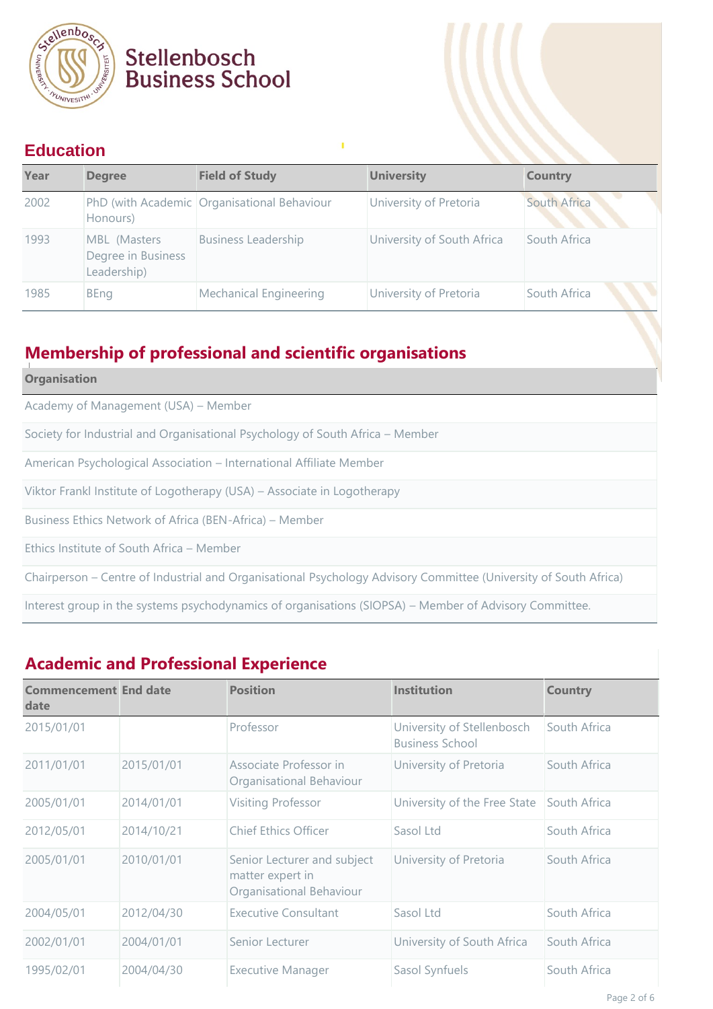

#### **Education**

| Year | <b>Degree</b>                                     | <b>Field of Study</b>                       | <b>University</b>          | <b>Country</b> |
|------|---------------------------------------------------|---------------------------------------------|----------------------------|----------------|
| 2002 | Honours)                                          | PhD (with Academic Organisational Behaviour | University of Pretoria     | South Africa   |
| 1993 | MBL (Masters<br>Degree in Business<br>Leadership) | <b>Business Leadership</b>                  | University of South Africa | South Africa   |
| 1985 | <b>BEng</b>                                       | <b>Mechanical Engineering</b>               | University of Pretoria     | South Africa   |

ı

### **Membership of professional and scientific organisations**

| <b>Organisation</b>                                                                                              |
|------------------------------------------------------------------------------------------------------------------|
| Academy of Management (USA) - Member                                                                             |
| Society for Industrial and Organisational Psychology of South Africa – Member                                    |
| American Psychological Association - International Affiliate Member                                              |
| Viktor Frankl Institute of Logotherapy (USA) – Associate in Logotherapy                                          |
| Business Ethics Network of Africa (BEN-Africa) – Member                                                          |
| Ethics Institute of South Africa – Member                                                                        |
| Chairperson – Centre of Industrial and Organisational Psychology Advisory Committee (University of South Africa) |
| Interest group in the systems psychodynamics of organisations (SIOPSA) – Member of Advisory Committee.           |

### **Academic and Professional Experience**

| <b>Commencement End date</b><br>date |            | <b>Position</b>                                                             | <b>Institution</b>                                   | <b>Country</b> |
|--------------------------------------|------------|-----------------------------------------------------------------------------|------------------------------------------------------|----------------|
| 2015/01/01                           |            | Professor                                                                   | University of Stellenbosch<br><b>Business School</b> | South Africa   |
| 2011/01/01                           | 2015/01/01 | Associate Professor in<br>Organisational Behaviour                          | University of Pretoria                               | South Africa   |
| 2005/01/01                           | 2014/01/01 | Visiting Professor                                                          | University of the Free State                         | South Africa   |
| 2012/05/01                           | 2014/10/21 | <b>Chief Ethics Officer</b>                                                 | Sasol Ltd                                            | South Africa   |
| 2005/01/01                           | 2010/01/01 | Senior Lecturer and subject<br>matter expert in<br>Organisational Behaviour | University of Pretoria                               | South Africa   |
| 2004/05/01                           | 2012/04/30 | <b>Executive Consultant</b>                                                 | Sasol Ltd                                            | South Africa   |
| 2002/01/01                           | 2004/01/01 | Senior Lecturer                                                             | University of South Africa                           | South Africa   |
| 1995/02/01                           | 2004/04/30 | <b>Executive Manager</b>                                                    | Sasol Synfuels                                       | South Africa   |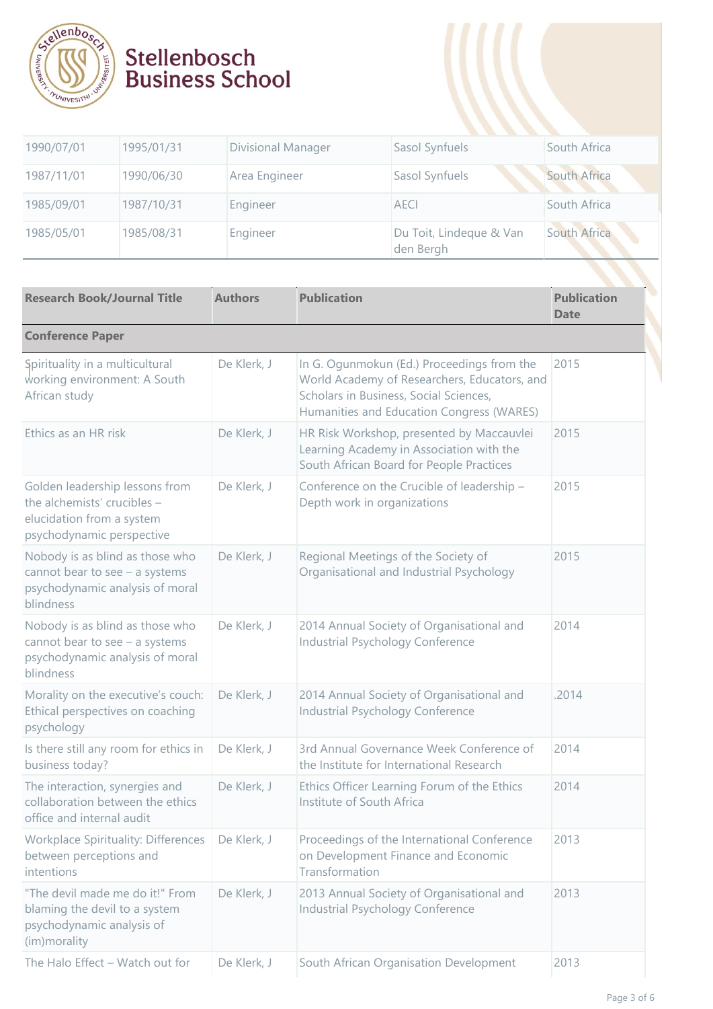

| 1990/07/01 | 1995/01/31 | Divisional Manager | Sasol Synfuels                       | South Africa |
|------------|------------|--------------------|--------------------------------------|--------------|
| 1987/11/01 | 1990/06/30 | Area Engineer      | Sasol Synfuels                       | South Africa |
| 1985/09/01 | 1987/10/31 | Engineer           | <b>AECI</b>                          | South Africa |
| 1985/05/01 | 1985/08/31 | Engineer           | Du Toit, Lindeque & Van<br>den Bergh | South Africa |
|            |            |                    |                                      |              |

| <b>Research Book/Journal Title</b>                                                                                      | <b>Authors</b> | <b>Publication</b>                                                                                                                                                                | <b>Publication</b><br><b>Date</b> |
|-------------------------------------------------------------------------------------------------------------------------|----------------|-----------------------------------------------------------------------------------------------------------------------------------------------------------------------------------|-----------------------------------|
| <b>Conference Paper</b>                                                                                                 |                |                                                                                                                                                                                   |                                   |
| Spirituality in a multicultural<br>working environment: A South<br>African study                                        | De Klerk, J    | In G. Ogunmokun (Ed.) Proceedings from the<br>World Academy of Researchers, Educators, and<br>Scholars in Business, Social Sciences,<br>Humanities and Education Congress (WARES) | 2015                              |
| Ethics as an HR risk                                                                                                    | De Klerk, J    | HR Risk Workshop, presented by Maccauvlei<br>Learning Academy in Association with the<br>South African Board for People Practices                                                 | 2015                              |
| Golden leadership lessons from<br>the alchemists' crucibles -<br>elucidation from a system<br>psychodynamic perspective | De Klerk, J    | Conference on the Crucible of leadership -<br>Depth work in organizations                                                                                                         | 2015                              |
| Nobody is as blind as those who<br>cannot bear to see $-$ a systems<br>psychodynamic analysis of moral<br>blindness     | De Klerk, J    | Regional Meetings of the Society of<br>Organisational and Industrial Psychology                                                                                                   | 2015                              |
| Nobody is as blind as those who<br>cannot bear to see $-$ a systems<br>psychodynamic analysis of moral<br>blindness     | De Klerk, J    | 2014 Annual Society of Organisational and<br>Industrial Psychology Conference                                                                                                     | 2014                              |
| Morality on the executive's couch:<br>Ethical perspectives on coaching<br>psychology                                    | De Klerk, J    | 2014 Annual Society of Organisational and<br>Industrial Psychology Conference                                                                                                     | .2014                             |
| Is there still any room for ethics in<br>business today?                                                                | De Klerk, J    | 3rd Annual Governance Week Conference of<br>the Institute for International Research                                                                                              | 2014                              |
| The interaction, synergies and<br>collaboration between the ethics<br>office and internal audit                         | De Klerk, J    | Ethics Officer Learning Forum of the Ethics<br>Institute of South Africa                                                                                                          | 2014                              |
| Workplace Spirituality: Differences<br>between perceptions and<br>intentions                                            | De Klerk, J    | Proceedings of the International Conference<br>on Development Finance and Economic<br>Transformation                                                                              | 2013                              |
| "The devil made me do it!" From<br>blaming the devil to a system<br>psychodynamic analysis of<br>(im) morality          | De Klerk, J    | 2013 Annual Society of Organisational and<br>Industrial Psychology Conference                                                                                                     | 2013                              |
| The Halo Effect - Watch out for                                                                                         | De Klerk, J    | South African Organisation Development                                                                                                                                            | 2013                              |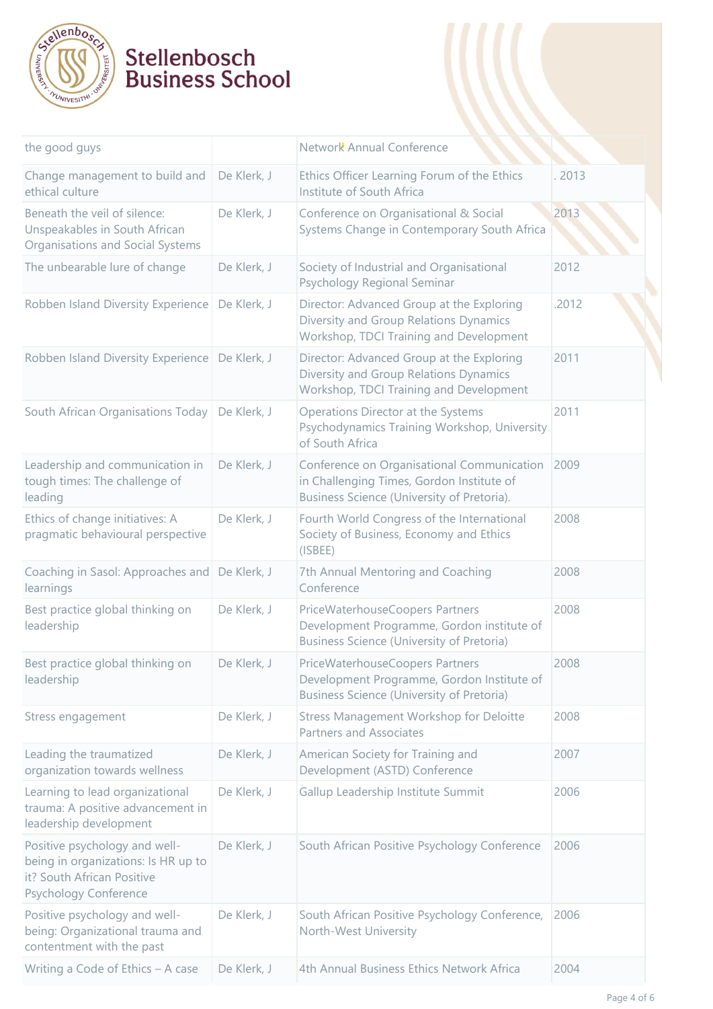

| the good guys                                                                                                               |             | Network Annual Conference                                                                                                             |        |
|-----------------------------------------------------------------------------------------------------------------------------|-------------|---------------------------------------------------------------------------------------------------------------------------------------|--------|
| Change management to build and<br>ethical culture                                                                           | De Klerk, J | Ethics Officer Learning Forum of the Ethics<br>Institute of South Africa                                                              | . 2013 |
| Beneath the veil of silence:<br>Unspeakables in South African<br>Organisations and Social Systems                           | De Klerk, J | Conference on Organisational & Social<br>Systems Change in Contemporary South Africa                                                  | 2013   |
| The unbearable lure of change                                                                                               | De Klerk, J | Society of Industrial and Organisational<br>Psychology Regional Seminar                                                               | 2012   |
| Robben Island Diversity Experience                                                                                          | De Klerk, J | Director: Advanced Group at the Exploring<br>Diversity and Group Relations Dynamics<br>Workshop, TDCI Training and Development        | .2012  |
| Robben Island Diversity Experience                                                                                          | De Klerk, J | Director: Advanced Group at the Exploring<br>Diversity and Group Relations Dynamics<br>Workshop, TDCI Training and Development        | 2011   |
| South African Organisations Today                                                                                           | De Klerk, J | Operations Director at the Systems<br>Psychodynamics Training Workshop, University<br>of South Africa                                 | 2011   |
| Leadership and communication in<br>tough times: The challenge of<br>leading                                                 | De Klerk, J | Conference on Organisational Communication<br>in Challenging Times, Gordon Institute of<br>Business Science (University of Pretoria). | 2009   |
| Ethics of change initiatives: A<br>pragmatic behavioural perspective                                                        | De Klerk, J | Fourth World Congress of the International<br>Society of Business, Economy and Ethics<br>(ISBEE)                                      | 2008   |
| Coaching in Sasol: Approaches and<br>learnings                                                                              | De Klerk, J | 7th Annual Mentoring and Coaching<br>Conference                                                                                       | 2008   |
| Best practice global thinking on<br>leadership                                                                              | De Klerk, J | PriceWaterhouseCoopers Partners<br>Development Programme, Gordon institute of<br><b>Business Science (University of Pretoria)</b>     | 2008   |
| Best practice global thinking on<br>leadership                                                                              | De Klerk, J | PriceWaterhouseCoopers Partners<br>Development Programme, Gordon Institute of<br><b>Business Science (University of Pretoria)</b>     | 2008   |
| Stress engagement                                                                                                           | De Klerk, J | Stress Management Workshop for Deloitte<br><b>Partners and Associates</b>                                                             | 2008   |
| Leading the traumatized<br>organization towards wellness                                                                    | De Klerk, J | American Society for Training and<br>Development (ASTD) Conference                                                                    | 2007   |
| Learning to lead organizational<br>trauma: A positive advancement in<br>leadership development                              | De Klerk, J | Gallup Leadership Institute Summit                                                                                                    | 2006   |
| Positive psychology and well-<br>being in organizations: Is HR up to<br>it? South African Positive<br>Psychology Conference | De Klerk, J | South African Positive Psychology Conference                                                                                          | 2006   |
| Positive psychology and well-<br>being: Organizational trauma and<br>contentment with the past                              | De Klerk, J | South African Positive Psychology Conference,<br>North-West University                                                                | 2006   |
| Writing a Code of Ethics - A case                                                                                           | De Klerk, J | 4th Annual Business Ethics Network Africa                                                                                             | 2004   |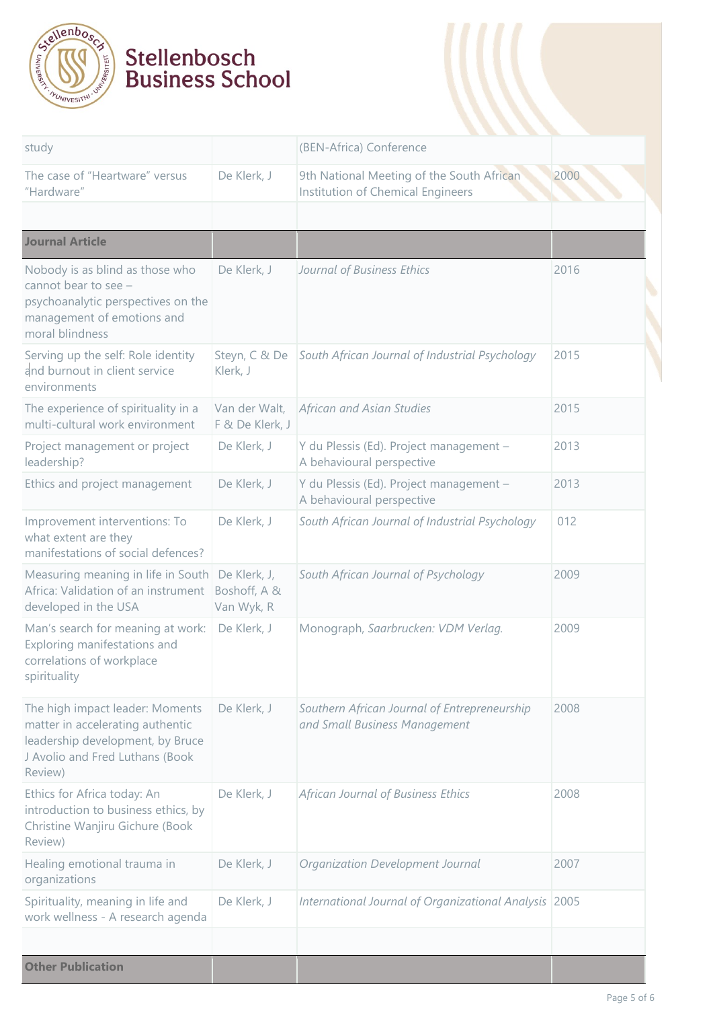

| study                                                                                                                                                 |                                            | (BEN-Africa) Conference                                                        |      |
|-------------------------------------------------------------------------------------------------------------------------------------------------------|--------------------------------------------|--------------------------------------------------------------------------------|------|
| The case of "Heartware" versus<br>"Hardware"                                                                                                          | De Klerk, J                                | 9th National Meeting of the South African<br>Institution of Chemical Engineers | 2000 |
| <b>Journal Article</b>                                                                                                                                |                                            |                                                                                |      |
| Nobody is as blind as those who<br>cannot bear to see -<br>psychoanalytic perspectives on the<br>management of emotions and<br>moral blindness        | De Klerk, J                                | Journal of Business Ethics                                                     | 2016 |
| Serving up the self: Role identity<br>and burnout in client service<br>environments                                                                   | Steyn, C & De<br>Klerk, J                  | South African Journal of Industrial Psychology                                 | 2015 |
| The experience of spirituality in a<br>multi-cultural work environment                                                                                | Van der Walt,<br>F & De Klerk, J           | African and Asian Studies                                                      | 2015 |
| Project management or project<br>leadership?                                                                                                          | De Klerk, J                                | Y du Plessis (Ed). Project management -<br>A behavioural perspective           | 2013 |
| Ethics and project management                                                                                                                         | De Klerk, J                                | Y du Plessis (Ed). Project management -<br>A behavioural perspective           | 2013 |
| Improvement interventions: To<br>what extent are they<br>manifestations of social defences?                                                           | De Klerk, J                                | South African Journal of Industrial Psychology                                 | 012  |
| Measuring meaning in life in South<br>Africa: Validation of an instrument<br>developed in the USA                                                     | De Klerk, J,<br>Boshoff, A &<br>Van Wyk, R | South African Journal of Psychology                                            | 2009 |
| Man's search for meaning at work:<br>Exploring manifestations and<br>correlations of workplace<br>spirituality                                        | De Klerk, J                                | Monograph, Saarbrucken: VDM Verlag.                                            | 2009 |
| The high impact leader: Moments<br>matter in accelerating authentic<br>leadership development, by Bruce<br>J Avolio and Fred Luthans (Book<br>Review) | De Klerk, J                                | Southern African Journal of Entrepreneurship<br>and Small Business Management  | 2008 |
| Ethics for Africa today: An<br>introduction to business ethics, by<br>Christine Wanjiru Gichure (Book<br>Review)                                      | De Klerk, J                                | African Journal of Business Ethics                                             | 2008 |
| Healing emotional trauma in<br>organizations                                                                                                          | De Klerk, J                                | Organization Development Journal                                               | 2007 |
| Spirituality, meaning in life and<br>work wellness - A research agenda                                                                                | De Klerk, J                                | International Journal of Organizational Analysis 2005                          |      |
| <b>Other Publication</b>                                                                                                                              |                                            |                                                                                |      |